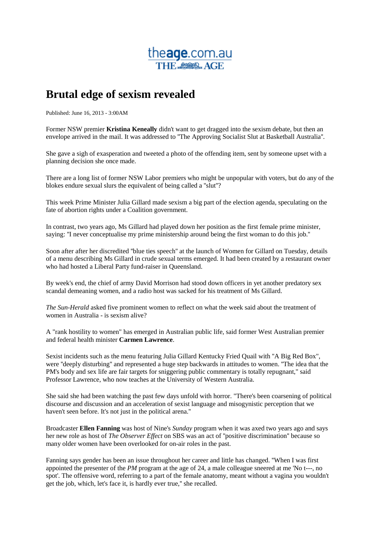

## **Brutal edge of sexism revealed**

Published: June 16, 2013 - 3:00AM

Former NSW premier **Kristina Keneally** didn't want to get dragged into the sexism debate, but then an envelope arrived in the mail. It was addressed to ''The Approving Socialist Slut at Basketball Australia''.

She gave a sigh of exasperation and tweeted a photo of the offending item, sent by someone upset with a planning decision she once made.

There are a long list of former NSW Labor premiers who might be unpopular with voters, but do any of the blokes endure sexual slurs the equivalent of being called a ''slut''?

This week Prime Minister Julia Gillard made sexism a big part of the election agenda, speculating on the fate of abortion rights under a Coalition government.

In contrast, two years ago, Ms Gillard had played down her position as the first female prime minister, saying: ''I never conceptualise my prime ministership around being the first woman to do this job.''

Soon after after her discredited ''blue ties speech'' at the launch of Women for Gillard on Tuesday, details of a menu describing Ms Gillard in crude sexual terms emerged. It had been created by a restaurant owner who had hosted a Liberal Party fund-raiser in Queensland.

By week's end, the chief of army David Morrison had stood down officers in yet another predatory sex scandal demeaning women, and a radio host was sacked for his treatment of Ms Gillard.

*The Sun-Herald* asked five prominent women to reflect on what the week said about the treatment of women in Australia - is sexism alive?

A "rank hostility to women" has emerged in Australian public life, said former West Australian premier and federal health minister **Carmen Lawrence**.

Sexist incidents such as the menu featuring Julia Gillard Kentucky Fried Quail with ''A Big Red Box", were ''deeply disturbing'' and represented a huge step backwards in attitudes to women. ''The idea that the PM's body and sex life are fair targets for sniggering public commentary is totally repugnant," said Professor Lawrence, who now teaches at the University of Western Australia.

She said she had been watching the past few days unfold with horror. "There's been coarsening of political discourse and discussion and an acceleration of sexist language and misogynistic perception that we haven't seen before. It's not just in the political arena.''

Broadcaster **Ellen Fanning** was host of Nine's *Sunday* program when it was axed two years ago and says her new role as host of *The Observer Effect* on SBS was an act of ''positive discrimination'' because so many older women have been overlooked for on-air roles in the past.

Fanning says gender has been an issue throughout her career and little has changed. ''When I was first appointed the presenter of the *PM* program at the age of 24, a male colleague sneered at me 'No t---, no spot'. The offensive word, referring to a part of the female anatomy, meant without a vagina you wouldn't get the job, which, let's face it, is hardly ever true,'' she recalled.